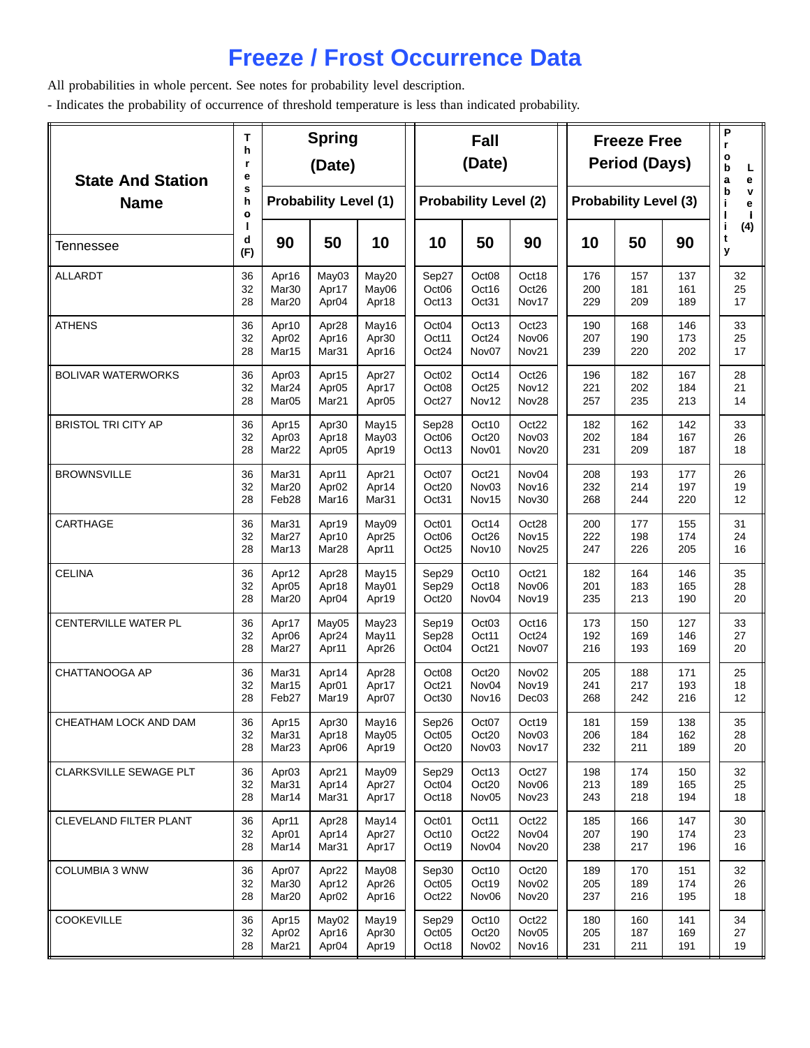## **Freeze / Frost Occurrence Data**

All probabilities in whole percent. See notes for probability level description.

- Indicates the probability of occurrence of threshold temperature is less than indicated probability.

| <b>State And Station</b>   | Т<br>h<br>r<br>е<br>s |                   | <b>Spring</b><br>(Date)      |                   |                              | Fall<br>(Date)               |                   |     | <b>Freeze Free</b><br><b>Period (Days)</b> | Ρ<br>r<br>ο<br>þ<br>L<br>a<br>е<br>b<br>$\mathbf{v}$ |                     |
|----------------------------|-----------------------|-------------------|------------------------------|-------------------|------------------------------|------------------------------|-------------------|-----|--------------------------------------------|------------------------------------------------------|---------------------|
| <b>Name</b>                | h<br>$\bullet$        |                   | <b>Probability Level (1)</b> |                   | <b>Probability Level (2)</b> | <b>Probability Level (3)</b> | j.<br>e           |     |                                            |                                                      |                     |
| Tennessee                  | d<br>(F)              | 90                | 50                           | 10                | 10                           | 50                           | 90                | 10  | 50                                         | 90                                                   | j.<br>(4)<br>t<br>У |
| <b>ALLARDT</b>             | 36                    | Apr16             | May03                        | May20             | Sep27                        | Oct08                        | Oct18             | 176 | 157                                        | 137                                                  | 32                  |
|                            | 32                    | Mar30             | Apr17                        | May06             | Oct06                        | Oct16                        | Oct26             | 200 | 181                                        | 161                                                  | 25                  |
|                            | 28                    | Mar <sub>20</sub> | Apr <sub>04</sub>            | Apr18             | Oct13                        | Oct31                        | Nov17             | 229 | 209                                        | 189                                                  | 17                  |
| <b>ATHENS</b>              | 36                    | Apr10             | Apr28                        | May16             | Oct04                        | Oct13                        | Oct23             | 190 | 168                                        | 146                                                  | 33                  |
|                            | 32                    | Apr <sub>02</sub> | Apr16                        | Apr30             | Oct11                        | Oct24                        | Nov <sub>06</sub> | 207 | 190                                        | 173                                                  | 25                  |
|                            | 28                    | Mar15             | Mar31                        | Apr16             | Oct24                        | Nov07                        | Nov21             | 239 | 220                                        | 202                                                  | 17                  |
| <b>BOLIVAR WATERWORKS</b>  | 36                    | Apr <sub>03</sub> | Apr15                        | Apr27             | Oct <sub>02</sub>            | Oct14                        | Oct26             | 196 | 182                                        | 167                                                  | 28                  |
|                            | 32                    | Mar <sub>24</sub> | Apr <sub>05</sub>            | Apr17             | Oct08                        | Oct25                        | Nov12             | 221 | 202                                        | 184                                                  | 21                  |
|                            | 28                    | Mar <sub>05</sub> | Mar21                        | Apr <sub>05</sub> | Oct27                        | Nov12                        | Nov28             | 257 | 235                                        | 213                                                  | 14                  |
| <b>BRISTOL TRI CITY AP</b> | 36                    | Apr15             | Apr30                        | May15             | Sep28                        | Oct10                        | Oct22             | 182 | 162                                        | 142                                                  | 33                  |
|                            | 32                    | Apr <sub>03</sub> | Apr18                        | May03             | Oct <sub>06</sub>            | Oct20                        | Nov <sub>03</sub> | 202 | 184                                        | 167                                                  | 26                  |
|                            | 28                    | Mar22             | Apr <sub>05</sub>            | Apr19             | Oct13                        | Nov01                        | Nov20             | 231 | 209                                        | 187                                                  | 18                  |
| <b>BROWNSVILLE</b>         | 36                    | Mar31             | Apr11                        | Apr21             | Oct07                        | Oct21                        | Nov04             | 208 | 193                                        | 177                                                  | 26                  |
|                            | 32                    | Mar <sub>20</sub> | Apr <sub>02</sub>            | Apr14             | Oct20                        | Nov <sub>03</sub>            | Nov16             | 232 | 214                                        | 197                                                  | 19                  |
|                            | 28                    | Feb <sub>28</sub> | Mar16                        | Mar31             | Oct31                        | Nov15                        | Nov30             | 268 | 244                                        | 220                                                  | 12                  |
| CARTHAGE                   | 36                    | Mar31             | Apr19                        | May09             | Oct <sub>01</sub>            | Oct14                        | Oct28             | 200 | 177                                        | 155                                                  | 31                  |
|                            | 32                    | Mar <sub>27</sub> | Apr10                        | Apr25             | Oct <sub>06</sub>            | Oct26                        | Nov15             | 222 | 198                                        | 174                                                  | 24                  |
|                            | 28                    | Mar13             | Mar <sub>28</sub>            | Apr11             | Oct25                        | Nov10                        | Nov25             | 247 | 226                                        | 205                                                  | 16                  |
| <b>CELINA</b>              | 36                    | Apr12             | Apr28                        | May15             | Sep29                        | Oct10                        | Oct21             | 182 | 164                                        | 146                                                  | 35                  |
|                            | 32                    | Apr <sub>05</sub> | Apr18                        | May01             | Sep29                        | Oct18                        | Nov <sub>06</sub> | 201 | 183                                        | 165                                                  | 28                  |
|                            | 28                    | Mar20             | Apr <sub>04</sub>            | Apr19             | Oct20                        | Nov <sub>04</sub>            | Nov19             | 235 | 213                                        | 190                                                  | 20                  |
| CENTERVILLE WATER PL       | 36                    | Apr17             | May05                        | May23             | Sep19                        | Oct <sub>03</sub>            | Oct16             | 173 | 150                                        | 127                                                  | 33                  |
|                            | 32                    | Apr <sub>06</sub> | Apr24                        | May11             | Sep28                        | Oct11                        | Oct24             | 192 | 169                                        | 146                                                  | 27                  |
|                            | 28                    | Mar <sub>27</sub> | Apr11                        | Apr26             | Oct <sub>04</sub>            | Oct21                        | Nov07             | 216 | 193                                        | 169                                                  | 20                  |
| CHATTANOOGA AP             | 36                    | Mar31             | Apr14                        | Apr28             | Oct <sub>08</sub>            | Oct20                        | Nov <sub>02</sub> | 205 | 188                                        | 171                                                  | 25                  |
|                            | 32                    | Mar15             | Apr01                        | Apr17             | Oct21                        | Nov <sub>04</sub>            | Nov19             | 241 | 217                                        | 193                                                  | 18                  |
|                            | 28                    | Feb27             | Mar19                        | Apr <sub>07</sub> | Oct30                        | Nov16                        | Dec <sub>03</sub> | 268 | 242                                        | 216                                                  | 12                  |
| CHEATHAM LOCK AND DAM      | 36                    | Apr15             | Apr30                        | May16             | Sep26                        | Oct07                        | Oct19             | 181 | 159                                        | 138                                                  | 35                  |
|                            | 32                    | Mar31             | Apr18                        | May05             | Oct05                        | Oct20                        | Nov <sub>03</sub> | 206 | 184                                        | 162                                                  | 28                  |
|                            | 28                    | Mar <sub>23</sub> | Apr <sub>06</sub>            | Apr19             | Oct20                        | Nov <sub>03</sub>            | Nov17             | 232 | 211                                        | 189                                                  | 20                  |
| CLARKSVILLE SEWAGE PLT     | 36                    | Apr <sub>03</sub> | Apr21                        | May09             | Sep29                        | Oct13                        | Oct27             | 198 | 174                                        | 150                                                  | 32                  |
|                            | 32                    | Mar <sub>31</sub> | Apr14                        | Apr27             | Oct04                        | Oct20                        | Nov06             | 213 | 189                                        | 165                                                  | 25                  |
|                            | 28                    | Mar14             | Mar <sub>31</sub>            | Apr17             | Oct18                        | Nov <sub>05</sub>            | Nov23             | 243 | 218                                        | 194                                                  | 18                  |
| CLEVELAND FILTER PLANT     | 36                    | Apr11             | Apr28                        | May14             | Oct <sub>01</sub>            | Oct11                        | Oct22             | 185 | 166                                        | 147                                                  | 30                  |
|                            | 32                    | Apr <sub>01</sub> | Apr14                        | Apr27             | Oct10                        | Oct22                        | Nov <sub>04</sub> | 207 | 190                                        | 174                                                  | 23                  |
|                            | 28                    | Mar14             | Mar31                        | Apr17             | Oct19                        | Nov <sub>04</sub>            | Nov20             | 238 | 217                                        | 196                                                  | 16                  |
| <b>COLUMBIA 3 WNW</b>      | 36                    | Apr <sub>07</sub> | Apr22                        | May08             | Sep30                        | Oct10                        | Oct20             | 189 | 170                                        | 151                                                  | 32                  |
|                            | 32                    | Mar30             | Apr12                        | Apr26             | Oct05                        | Oct19                        | Nov <sub>02</sub> | 205 | 189                                        | 174                                                  | 26                  |
|                            | 28                    | Mar <sub>20</sub> | Apr <sub>02</sub>            | Apr16             | Oct22                        | Nov <sub>06</sub>            | Nov20             | 237 | 216                                        | 195                                                  | 18                  |
| <b>COOKEVILLE</b>          | 36                    | Apr15             | May02                        | May19             | Sep29                        | Oct10                        | Oct <sub>22</sub> | 180 | 160                                        | 141                                                  | 34                  |
|                            | 32                    | Apr <sub>02</sub> | Apr16                        | Apr30             | Oct05                        | Oct20                        | Nov <sub>05</sub> | 205 | 187                                        | 169                                                  | 27                  |
|                            | 28                    | Mar <sub>21</sub> | Apr <sub>04</sub>            | Apr19             | Oct18                        | Nov <sub>02</sub>            | Nov16             | 231 | 211                                        | 191                                                  | 19                  |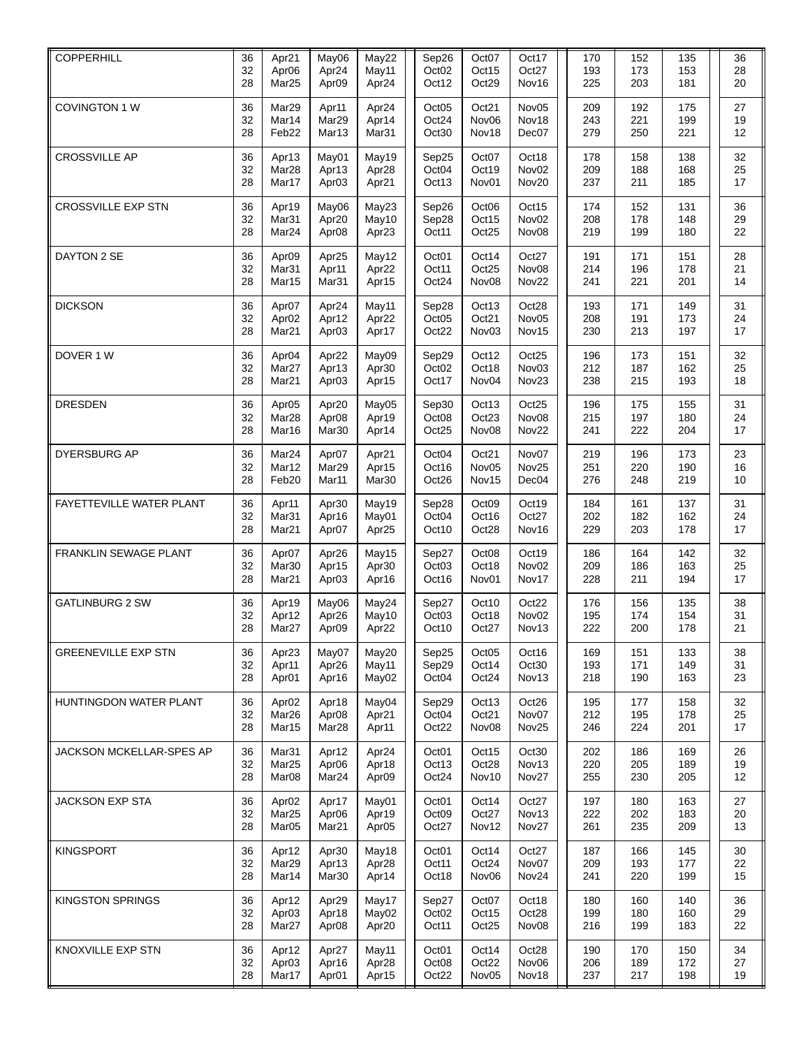| COPPERHILL                      | 36<br>32<br>28 | Apr21<br>Apr <sub>06</sub><br>Mar25                         | May06<br>Apr24<br>Apr <sub>09</sub>             | May22<br>May11<br>Apr24             | Sep26<br>Oct <sub>02</sub><br>Oct12 | Oct07<br>Oct15<br>Oct29             | Oct17<br>Oct27<br>Nov16             | 170<br>193<br>225 | 152<br>173<br>203 | 135<br>153<br>181 | 36<br>28<br>20 |
|---------------------------------|----------------|-------------------------------------------------------------|-------------------------------------------------|-------------------------------------|-------------------------------------|-------------------------------------|-------------------------------------|-------------------|-------------------|-------------------|----------------|
| COVINGTON 1 W                   | 36<br>32<br>28 | Mar29<br>Mar14<br>Feb22                                     | Apr11<br>Mar <sub>29</sub><br>Mar13             | Apr24<br>Apr14<br>Mar31             | Oct05<br>Oct24<br>Oct30             | Oct21<br>Nov <sub>06</sub><br>Nov18 | Nov <sub>05</sub><br>Nov18<br>Dec07 | 209<br>243<br>279 | 192<br>221<br>250 | 175<br>199<br>221 | 27<br>19<br>12 |
| <b>CROSSVILLE AP</b>            | 36<br>32<br>28 | Apr13<br>Mar <sub>28</sub><br>Mar17                         | May01<br>Apr13<br>Apr <sub>03</sub>             | May19<br>Apr28<br>Apr21             | Sep25<br>Oct04<br>Oct13             | Oct <sub>07</sub><br>Oct19<br>Nov01 | Oct18<br>Nov <sub>02</sub><br>Nov20 | 178<br>209<br>237 | 158<br>188<br>211 | 138<br>168<br>185 | 32<br>25<br>17 |
| <b>CROSSVILLE EXP STN</b>       | 36<br>32<br>28 | Apr19<br>Mar31<br>Mar <sub>24</sub>                         | May06<br>Apr20<br>Apr <sub>08</sub>             | May23<br>May10<br>Apr23             | Sep26<br>Sep28<br>Oct11             | Oct06<br>Oct15<br>Oct25             | Oct15<br>Nov <sub>02</sub><br>Nov08 | 174<br>208<br>219 | 152<br>178<br>199 | 131<br>148<br>180 | 36<br>29<br>22 |
| DAYTON 2 SE                     | 36<br>32<br>28 | Apr <sub>09</sub><br>Mar31<br>Mar15                         | Apr25<br>Apr11<br>Mar31                         | May12<br>Apr22<br>Apr15             | Oct <sub>01</sub><br>Oct11<br>Oct24 | Oct14<br>Oct25<br>Nov <sub>08</sub> | Oct27<br>Nov08<br>Nov22             | 191<br>214<br>241 | 171<br>196<br>221 | 151<br>178<br>201 | 28<br>21<br>14 |
| <b>DICKSON</b>                  | 36<br>32<br>28 | Apr07<br>Apr <sub>02</sub><br>Mar <sub>21</sub>             | Apr24<br>Apr12<br>Apr <sub>03</sub>             | May11<br>Apr22<br>Apr17             | Sep28<br>Oct05<br>Oct22             | Oct13<br>Oct21<br>Nov <sub>03</sub> | Oct28<br>Nov <sub>05</sub><br>Nov15 | 193<br>208<br>230 | 171<br>191<br>213 | 149<br>173<br>197 | 31<br>24<br>17 |
| DOVER 1 W                       | 36<br>32<br>28 | Apr <sub>04</sub><br>Mar27<br>Mar <sub>21</sub>             | Apr22<br>Apr13<br>Apr <sub>03</sub>             | May09<br>Apr30<br>Apr15             | Sep29<br>Oct <sub>02</sub><br>Oct17 | Oct12<br>Oct18<br>Nov04             | Oct25<br>Nov <sub>03</sub><br>Nov23 | 196<br>212<br>238 | 173<br>187<br>215 | 151<br>162<br>193 | 32<br>25<br>18 |
| <b>DRESDEN</b>                  | 36<br>32<br>28 | Apr <sub>05</sub><br>Mar <sub>28</sub><br>Mar16             | Apr20<br>Apr <sub>08</sub><br>Mar30             | May05<br>Apr19<br>Apr14             | Sep30<br>Oct08<br>Oct25             | Oct13<br>Oct23<br>Nov <sub>08</sub> | Oct25<br>Nov08<br>Nov22             | 196<br>215<br>241 | 175<br>197<br>222 | 155<br>180<br>204 | 31<br>24<br>17 |
| <b>DYERSBURG AP</b>             | 36<br>32<br>28 | Mar24<br>Mar12<br>Feb20                                     | Apr07<br>Mar29<br>Mar11                         | Apr21<br>Apr15<br>Mar30             | Oct04<br>Oct16<br>Oct26             | Oct21<br>Nov <sub>05</sub><br>Nov15 | Nov07<br>Nov25<br>Dec04             | 219<br>251<br>276 | 196<br>220<br>248 | 173<br>190<br>219 | 23<br>16<br>10 |
| FAYETTEVILLE WATER PLANT        | 36<br>32<br>28 | Apr11<br>Mar31<br>Mar <sub>21</sub>                         | Apr30<br>Apr16<br>Apr07                         | May19<br>May01<br>Apr25             | Sep28<br>Oct04<br>Oct10             | Oct09<br>Oct16<br>Oct28             | Oct19<br>Oct27<br>Nov16             | 184<br>202<br>229 | 161<br>182<br>203 | 137<br>162<br>178 | 31<br>24<br>17 |
| FRANKLIN SEWAGE PLANT           | 36<br>32<br>28 | Apr07<br>Mar30<br>Mar <sub>21</sub>                         | Apr26<br>Apr15<br>Apr <sub>03</sub>             | May15<br>Apr30<br>Apr16             | Sep27<br>Oct03<br>Oct16             | Oct08<br>Oct18<br>Nov <sub>01</sub> | Oct19<br>Nov <sub>02</sub><br>Nov17 | 186<br>209<br>228 | 164<br>186<br>211 | 142<br>163<br>194 | 32<br>25<br>17 |
| <b>GATLINBURG 2 SW</b>          | 36<br>32<br>28 | Apr19<br>Apr12<br>Mar <sub>27</sub>                         | May06<br>Apr26<br>Apr <sub>09</sub>             | May24<br>May10<br>Apr22             | Sep27<br>Oct03<br>Oct10             | Oct10<br>Oct18<br>Oct27             | Oct22<br>Nov <sub>02</sub><br>Nov13 | 176<br>195<br>222 | 156<br>174<br>200 | 135<br>154<br>178 | 38<br>31<br>21 |
| <b>GREENEVILLE EXP STN</b>      | 36<br>32<br>28 | Apr23<br>Apr11<br>Apr <sub>01</sub>                         | May07<br>Apr26<br>Apr16                         | May20<br>May11<br>May02             | Sep25<br>Sep29<br>Oct <sub>04</sub> | Oct <sub>05</sub><br>Oct14<br>Oct24 | Oct16<br>Oct30<br>Nov13             | 169<br>193<br>218 | 151<br>171<br>190 | 133<br>149<br>163 | 38<br>31<br>23 |
| HUNTINGDON WATER PLANT          | 36<br>32<br>28 | Apr <sub>02</sub><br>Mar26<br>Mar15                         | Apr18<br>Apr <sub>08</sub><br>Mar <sub>28</sub> | May04<br>Apr21<br>Apr11             | Sep29<br>Oct04<br>Oct22             | Oct13<br>Oct21<br>Nov <sub>08</sub> | Oct26<br>Nov07<br>Nov25             | 195<br>212<br>246 | 177<br>195<br>224 | 158<br>178<br>201 | 32<br>25<br>17 |
| <b>JACKSON MCKELLAR-SPES AP</b> | 36<br>32<br>28 | Mar31<br>Mar <sub>25</sub><br>Mar <sub>08</sub>             | Apr12<br>Apr <sub>06</sub><br>Mar <sub>24</sub> | Apr24<br>Apr18<br>Apr09             | Oct <sub>01</sub><br>Oct13<br>Oct24 | Oct15<br>Oct28<br>Nov10             | Oct30<br>Nov13<br>Nov27             | 202<br>220<br>255 | 186<br>205<br>230 | 169<br>189<br>205 | 26<br>19<br>12 |
| <b>JACKSON EXP STA</b>          | 36<br>32<br>28 | Apr <sub>02</sub><br>Mar <sub>25</sub><br>Mar <sub>05</sub> | Apr17<br>Apr <sub>06</sub><br>Mar <sub>21</sub> | May01<br>Apr19<br>Apr <sub>05</sub> | Oct <sub>01</sub><br>Oct09<br>Oct27 | Oct14<br>Oct27<br>Nov12             | Oct27<br>Nov13<br>Nov27             | 197<br>222<br>261 | 180<br>202<br>235 | 163<br>183<br>209 | 27<br>20<br>13 |
| <b>KINGSPORT</b>                | 36<br>32<br>28 | Apr12<br>Mar29<br>Mar14                                     | Apr30<br>Apr13<br>Mar30                         | May18<br>Apr28<br>Apr14             | Oct <sub>01</sub><br>Oct11<br>Oct18 | Oct14<br>Oct24<br>Nov <sub>06</sub> | Oct27<br>Nov07<br>Nov24             | 187<br>209<br>241 | 166<br>193<br>220 | 145<br>177<br>199 | 30<br>22<br>15 |
| <b>KINGSTON SPRINGS</b>         | 36<br>32<br>28 | Apr12<br>Apr03<br>Mar <sub>27</sub>                         | Apr29<br>Apr18<br>Apr <sub>08</sub>             | May17<br>May02<br>Apr20             | Sep27<br>Oct <sub>02</sub><br>Oct11 | Oct <sub>07</sub><br>Oct15<br>Oct25 | Oct18<br>Oct28<br>Nov08             | 180<br>199<br>216 | 160<br>180<br>199 | 140<br>160<br>183 | 36<br>29<br>22 |
| KNOXVILLE EXP STN               | 36<br>32<br>28 | Apr12<br>Apr <sub>03</sub><br>Mar17                         | Apr27<br>Apr16<br>Apr <sub>01</sub>             | May11<br>Apr28<br>Apr15             | Oct <sub>01</sub><br>Oct08<br>Oct22 | Oct14<br>Oct22<br>Nov <sub>05</sub> | Oct28<br>Nov <sub>06</sub><br>Nov18 | 190<br>206<br>237 | 170<br>189<br>217 | 150<br>172<br>198 | 34<br>27<br>19 |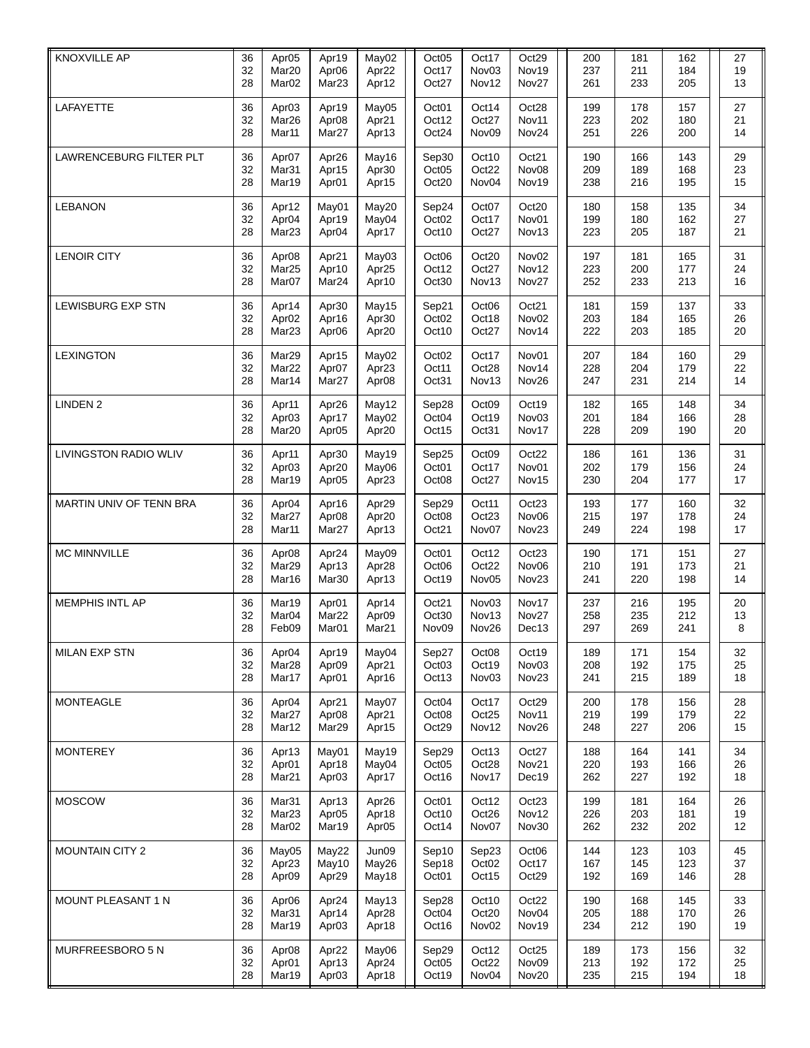| <b>KNOXVILLE AP</b>          | 36<br>32<br>28 | Apr <sub>05</sub><br>Mar20<br>Mar <sub>02</sub> | Apr19<br>Apr <sub>06</sub><br>Mar <sub>23</sub> | May02<br>Apr22<br>Apr12             | Oct05<br>Oct17<br>Oct27             | Oct17<br>Nov <sub>03</sub><br>Nov12             | Oct29<br>Nov19<br>Nov27             | 200<br>237<br>261 | 181<br>211<br>233 | 162<br>184<br>205 | 27<br>19<br>13 |
|------------------------------|----------------|-------------------------------------------------|-------------------------------------------------|-------------------------------------|-------------------------------------|-------------------------------------------------|-------------------------------------|-------------------|-------------------|-------------------|----------------|
| LAFAYETTE                    | 36<br>32<br>28 | Apr <sub>03</sub><br>Mar26<br>Mar11             | Apr19<br>Apr <sub>08</sub><br>Mar27             | May05<br>Apr21<br>Apr13             | Oct01<br>Oct12<br>Oct24             | Oct14<br>Oct27<br>Nov <sub>09</sub>             | Oct28<br>Nov11<br>Nov24             | 199<br>223<br>251 | 178<br>202<br>226 | 157<br>180<br>200 | 27<br>21<br>14 |
| LAWRENCEBURG FILTER PLT      | 36<br>32<br>28 | Apr07<br>Mar31<br>Mar19                         | Apr26<br>Apr15<br>Apr <sub>01</sub>             | May16<br>Apr30<br>Apr15             | Sep30<br>Oct05<br>Oct20             | Oct10<br>Oct22<br>Nov04                         | Oct21<br>Nov08<br>Nov19             | 190<br>209<br>238 | 166<br>189<br>216 | 143<br>168<br>195 | 29<br>23<br>15 |
| <b>LEBANON</b>               | 36<br>32<br>28 | Apr12<br>Apr <sub>04</sub><br>Mar <sub>23</sub> | May01<br>Apr19<br>Apr <sub>04</sub>             | May20<br>May04<br>Apr17             | Sep24<br>Oct <sub>02</sub><br>Oct10 | Oct <sub>07</sub><br>Oct17<br>Oct27             | Oct20<br>Nov01<br>Nov13             | 180<br>199<br>223 | 158<br>180<br>205 | 135<br>162<br>187 | 34<br>27<br>21 |
| <b>LENOIR CITY</b>           | 36<br>32<br>28 | Apr <sub>08</sub><br>Mar25<br>Mar <sub>07</sub> | Apr21<br>Apr10<br>Mar <sub>24</sub>             | May03<br>Apr25<br>Apr10             | Oct06<br>Oct12<br>Oct30             | Oct20<br>Oct27<br>Nov13                         | Nov <sub>02</sub><br>Nov12<br>Nov27 | 197<br>223<br>252 | 181<br>200<br>233 | 165<br>177<br>213 | 31<br>24<br>16 |
| <b>LEWISBURG EXP STN</b>     | 36<br>32<br>28 | Apr14<br>Apr <sub>02</sub><br>Mar <sub>23</sub> | Apr30<br>Apr16<br>Apr <sub>06</sub>             | May15<br>Apr30<br>Apr20             | Sep21<br>Oct <sub>02</sub><br>Oct10 | Oct06<br>Oct18<br>Oct27                         | Oct21<br>Nov <sub>02</sub><br>Nov14 | 181<br>203<br>222 | 159<br>184<br>203 | 137<br>165<br>185 | 33<br>26<br>20 |
| <b>LEXINGTON</b>             | 36<br>32<br>28 | Mar29<br>Mar22<br>Mar14                         | Apr15<br>Apr07<br>Mar27                         | May02<br>Apr23<br>Apr <sub>08</sub> | Oct <sub>02</sub><br>Oct11<br>Oct31 | Oct17<br>Oct28<br>Nov13                         | Nov01<br>Nov14<br>Nov26             | 207<br>228<br>247 | 184<br>204<br>231 | 160<br>179<br>214 | 29<br>22<br>14 |
| <b>LINDEN 2</b>              | 36<br>32<br>28 | Apr11<br>Apr03<br>Mar20                         | Apr26<br>Apr17<br>Apr <sub>05</sub>             | May12<br>May02<br>Apr20             | Sep28<br>Oct <sub>04</sub><br>Oct15 | Oct09<br>Oct19<br>Oct31                         | Oct19<br>Nov03<br>Nov17             | 182<br>201<br>228 | 165<br>184<br>209 | 148<br>166<br>190 | 34<br>28<br>20 |
| <b>LIVINGSTON RADIO WLIV</b> | 36<br>32<br>28 | Apr11<br>Apr03<br>Mar19                         | Apr30<br>Apr20<br>Apr <sub>05</sub>             | May19<br>May06<br>Apr23             | Sep25<br>Oct <sub>01</sub><br>Oct08 | Oct09<br>Oct17<br>Oct27                         | Oct22<br>Nov01<br>Nov15             | 186<br>202<br>230 | 161<br>179<br>204 | 136<br>156<br>177 | 31<br>24<br>17 |
| MARTIN UNIV OF TENN BRA      | 36<br>32<br>28 | Apr <sub>04</sub><br>Mar27<br>Mar11             | Apr16<br>Apr <sub>08</sub><br>Mar27             | Apr29<br>Apr20<br>Apr13             | Sep29<br>Oct08<br>Oct21             | Oct11<br>Oct23<br>Nov07                         | Oct23<br>Nov06<br>Nov23             | 193<br>215<br>249 | 177<br>197<br>224 | 160<br>178<br>198 | 32<br>24<br>17 |
| MC MINNVILLE                 | 36<br>32<br>28 | Apr <sub>08</sub><br>Mar29<br>Mar16             | Apr24<br>Apr13<br>Mar30                         | May09<br>Apr28<br>Apr13             | Oct <sub>01</sub><br>Oct06<br>Oct19 | Oct12<br>Oct22<br>Nov05                         | Oct23<br>Nov <sub>06</sub><br>Nov23 | 190<br>210<br>241 | 171<br>191<br>220 | 151<br>173<br>198 | 27<br>21<br>14 |
| <b>MEMPHIS INTL AP</b>       | 36<br>32<br>28 | Mar19<br>Mar <sub>04</sub><br>Feb09             | Apr <sub>01</sub><br>Mar22<br>Mar <sub>01</sub> | Apr14<br>Apr09<br>Mar <sub>21</sub> | Oct21<br>Oct30<br>Nov09             | Nov <sub>03</sub><br>Nov13<br>Nov26             | Nov17<br>Nov27<br>Dec13             | 237<br>258<br>297 | 216<br>235<br>269 | 195<br>212<br>241 | 20<br>13<br>8  |
| <b>MILAN EXP STN</b>         | 36<br>32<br>28 | Apr <sub>04</sub><br>Mar28<br>Mar17             | Apr19<br>Apr09<br>Apr <sub>01</sub>             | May04<br>Apr21<br>Apr16             | Sep27<br>Oct03<br>Oct13             | Oct <sub>08</sub><br>Oct19<br>Nov <sub>03</sub> | Oct19<br>Nov <sub>03</sub><br>Nov23 | 189<br>208<br>241 | 171<br>192<br>215 | 154<br>175<br>189 | 32<br>25<br>18 |
| <b>MONTEAGLE</b>             | 36<br>32<br>28 | Apr <sub>04</sub><br>Mar27<br>Mar12             | Apr21<br>Apr <sub>08</sub><br>Mar29             | May07<br>Apr21<br>Apr15             | Oct <sub>04</sub><br>Oct08<br>Oct29 | Oct17<br>Oct25<br>Nov12                         | Oct29<br>Nov11<br>Nov26             | 200<br>219<br>248 | 178<br>199<br>227 | 156<br>179<br>206 | 28<br>22<br>15 |
| <b>MONTEREY</b>              | 36<br>32<br>28 | Apr13<br>Apr <sub>01</sub><br>Mar <sub>21</sub> | May01<br>Apr18<br>Apr <sub>03</sub>             | May19<br>May04<br>Apr17             | Sep29<br>Oct05<br>Oct16             | Oct13<br>Oct28<br>Nov17                         | Oct27<br>Nov21<br>Dec19             | 188<br>220<br>262 | 164<br>193<br>227 | 141<br>166<br>192 | 34<br>26<br>18 |
| <b>MOSCOW</b>                | 36<br>32<br>28 | Mar31<br>Mar <sub>23</sub><br>Mar <sub>02</sub> | Apr13<br>Apr <sub>05</sub><br>Mar19             | Apr26<br>Apr18<br>Apr05             | Oct <sub>01</sub><br>Oct10<br>Oct14 | Oct12<br>Oct26<br>Nov07                         | Oct23<br>Nov12<br>Nov30             | 199<br>226<br>262 | 181<br>203<br>232 | 164<br>181<br>202 | 26<br>19<br>12 |
| <b>MOUNTAIN CITY 2</b>       | 36<br>32<br>28 | May05<br>Apr23<br>Apr <sub>09</sub>             | May22<br>May10<br>Apr29                         | Jun09<br>May26<br>May18             | Sep10<br>Sep18<br>Oct <sub>01</sub> | Sep23<br>Oct <sub>02</sub><br>Oct15             | Oct06<br>Oct17<br>Oct29             | 144<br>167<br>192 | 123<br>145<br>169 | 103<br>123<br>146 | 45<br>37<br>28 |
| <b>MOUNT PLEASANT 1 N</b>    | 36<br>32<br>28 | Apr <sub>06</sub><br>Mar31<br>Mar19             | Apr24<br>Apr14<br>Apr <sub>03</sub>             | May13<br>Apr28<br>Apr18             | Sep28<br>Oct04<br>Oct16             | Oct10<br>Oct20<br>Nov <sub>02</sub>             | Oct22<br>Nov04<br>Nov19             | 190<br>205<br>234 | 168<br>188<br>212 | 145<br>170<br>190 | 33<br>26<br>19 |
| MURFREESBORO 5 N             | 36<br>32<br>28 | Apr <sub>08</sub><br>Apr <sub>01</sub><br>Mar19 | Apr22<br>Apr13<br>Apr <sub>03</sub>             | May06<br>Apr24<br>Apr18             | Sep29<br>Oct05<br>Oct19             | Oct12<br>Oct22<br>Nov04                         | Oct25<br>Nov09<br>Nov20             | 189<br>213<br>235 | 173<br>192<br>215 | 156<br>172<br>194 | 32<br>25<br>18 |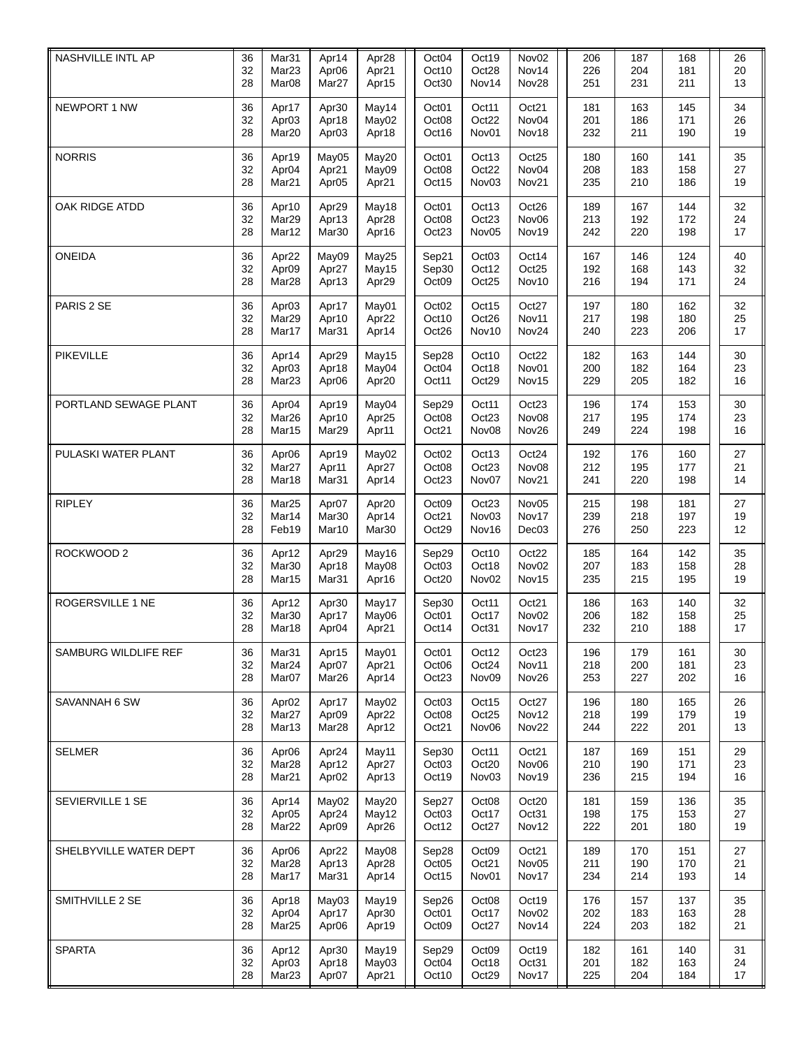| NASHVILLE INTL AP       | 36<br>32<br>28 | Mar31<br>Mar <sub>23</sub><br>Mar <sub>08</sub>             | Apr14<br>Apr <sub>06</sub><br>Mar <sub>27</sub> | Apr28<br>Apr21<br>Apr15 | Oct <sub>04</sub><br>Oct10<br>Oct30 | Oct19<br>Oct28<br>Nov14             | Nov <sub>02</sub><br>Nov14<br>Nov28 | 206<br>226<br>251 | 187<br>204<br>231 | 168<br>181<br>211 | 26<br>20<br>13 |
|-------------------------|----------------|-------------------------------------------------------------|-------------------------------------------------|-------------------------|-------------------------------------|-------------------------------------|-------------------------------------|-------------------|-------------------|-------------------|----------------|
| NEWPORT 1 NW            | 36<br>32<br>28 | Apr17<br>Apr <sub>03</sub><br>Mar20                         | Apr30<br>Apr18<br>Apr <sub>03</sub>             | May14<br>May02<br>Apr18 | Oct <sub>01</sub><br>Oct08<br>Oct16 | Oct11<br>Oct22<br>Nov <sub>01</sub> | Oct21<br>Nov04<br>Nov18             | 181<br>201<br>232 | 163<br>186<br>211 | 145<br>171<br>190 | 34<br>26<br>19 |
| <b>NORRIS</b>           | 36<br>32<br>28 | Apr19<br>Apr <sub>04</sub><br>Mar <sub>21</sub>             | May05<br>Apr21<br>Apr <sub>05</sub>             | May20<br>May09<br>Apr21 | Oct <sub>01</sub><br>Oct08<br>Oct15 | Oct13<br>Oct22<br>Nov <sub>03</sub> | Oct25<br>Nov04<br>Nov21             | 180<br>208<br>235 | 160<br>183<br>210 | 141<br>158<br>186 | 35<br>27<br>19 |
| OAK RIDGE ATDD          | 36<br>32<br>28 | Apr10<br>Mar29<br>Mar12                                     | Apr29<br>Apr13<br>Mar30                         | May18<br>Apr28<br>Apr16 | Oct <sub>01</sub><br>Oct08<br>Oct23 | Oct13<br>Oct23<br>Nov <sub>05</sub> | Oct26<br>Nov <sub>06</sub><br>Nov19 | 189<br>213<br>242 | 167<br>192<br>220 | 144<br>172<br>198 | 32<br>24<br>17 |
| <b>ONEIDA</b>           | 36<br>32<br>28 | Apr22<br>Apr09<br>Mar <sub>28</sub>                         | May09<br>Apr27<br>Apr13                         | May25<br>May15<br>Apr29 | Sep21<br>Sep30<br>Oct09             | Oct <sub>03</sub><br>Oct12<br>Oct25 | Oct14<br>Oct25<br>Nov10             | 167<br>192<br>216 | 146<br>168<br>194 | 124<br>143<br>171 | 40<br>32<br>24 |
| PARIS 2 SE              | 36<br>32<br>28 | Apr <sub>03</sub><br>Mar29<br>Mar17                         | Apr17<br>Apr10<br>Mar31                         | May01<br>Apr22<br>Apr14 | Oct <sub>02</sub><br>Oct10<br>Oct26 | Oct15<br>Oct26<br>Nov10             | Oct27<br>Nov11<br>Nov24             | 197<br>217<br>240 | 180<br>198<br>223 | 162<br>180<br>206 | 32<br>25<br>17 |
| <b>PIKEVILLE</b>        | 36<br>32<br>28 | Apr14<br>Apr03<br>Mar23                                     | Apr29<br>Apr18<br>Apr <sub>06</sub>             | May15<br>May04<br>Apr20 | Sep28<br>Oct04<br>Oct11             | Oct10<br>Oct18<br>Oct29             | Oct22<br>Nov01<br>Nov15             | 182<br>200<br>229 | 163<br>182<br>205 | 144<br>164<br>182 | 30<br>23<br>16 |
| PORTLAND SEWAGE PLANT   | 36<br>32<br>28 | Apr <sub>04</sub><br>Mar26<br>Mar15                         | Apr19<br>Apr10<br>Mar <sub>29</sub>             | May04<br>Apr25<br>Apr11 | Sep29<br>Oct08<br>Oct21             | Oct11<br>Oct23<br>Nov <sub>08</sub> | Oct23<br>Nov08<br>Nov26             | 196<br>217<br>249 | 174<br>195<br>224 | 153<br>174<br>198 | 30<br>23<br>16 |
| PULASKI WATER PLANT     | 36<br>32<br>28 | Apr <sub>06</sub><br>Mar27<br>Mar18                         | Apr19<br>Apr11<br>Mar31                         | May02<br>Apr27<br>Apr14 | Oct <sub>02</sub><br>Oct08<br>Oct23 | Oct13<br>Oct23<br>Nov07             | Oct24<br>Nov08<br>Nov21             | 192<br>212<br>241 | 176<br>195<br>220 | 160<br>177<br>198 | 27<br>21<br>14 |
| <b>RIPLEY</b>           | 36<br>32<br>28 | Mar25<br>Mar14<br>Feb19                                     | Apr07<br>Mar30<br>Mar10                         | Apr20<br>Apr14<br>Mar30 | Oct <sub>09</sub><br>Oct21<br>Oct29 | Oct23<br>Nov <sub>03</sub><br>Nov16 | Nov <sub>05</sub><br>Nov17<br>Dec03 | 215<br>239<br>276 | 198<br>218<br>250 | 181<br>197<br>223 | 27<br>19<br>12 |
| ROCKWOOD <sub>2</sub>   | 36<br>32<br>28 | Apr12<br>Mar30<br>Mar15                                     | Apr29<br>Apr18<br>Mar31                         | May16<br>May08<br>Apr16 | Sep29<br>Oct03<br>Oct20             | Oct10<br>Oct18<br>Nov02             | Oct22<br>Nov <sub>02</sub><br>Nov15 | 185<br>207<br>235 | 164<br>183<br>215 | 142<br>158<br>195 | 35<br>28<br>19 |
| <b>ROGERSVILLE 1 NE</b> | 36<br>32<br>28 | Apr12<br>Mar30<br>Mar18                                     | Apr30<br>Apr17<br>Apr <sub>04</sub>             | May17<br>May06<br>Apr21 | Sep30<br>Oct01<br>Oct14             | Oct11<br>Oct17<br>Oct31             | Oct21<br>Nov <sub>02</sub><br>Nov17 | 186<br>206<br>232 | 163<br>182<br>210 | 140<br>158<br>188 | 32<br>25<br>17 |
| SAMBURG WILDLIFE REF    | 36<br>32<br>28 | Mar31<br>Mar24<br>Mar <sub>07</sub>                         | Apr15<br>Apr07<br>Mar <sub>26</sub>             | May01<br>Apr21<br>Apr14 | Oct <sub>01</sub><br>Oct06<br>Oct23 | Oct12<br>Oct24<br>Nov <sub>09</sub> | Oct <sub>23</sub><br>Nov11<br>Nov26 | 196<br>218<br>253 | 179<br>200<br>227 | 161<br>181<br>202 | 30<br>23<br>16 |
| SAVANNAH 6 SW           | 36<br>32<br>28 | Apr <sub>02</sub><br>Mar27<br>Mar13                         | Apr17<br>Apr09<br>Mar <sub>28</sub>             | May02<br>Apr22<br>Apr12 | Oct <sub>03</sub><br>Oct08<br>Oct21 | Oct15<br>Oct25<br>Nov <sub>06</sub> | Oct27<br>Nov12<br>Nov22             | 196<br>218<br>244 | 180<br>199<br>222 | 165<br>179<br>201 | 26<br>19<br>13 |
| <b>SELMER</b>           | 36<br>32<br>28 | Apr <sub>06</sub><br>Mar <sub>28</sub><br>Mar <sub>21</sub> | Apr24<br>Apr12<br>Apr <sub>02</sub>             | May11<br>Apr27<br>Apr13 | Sep30<br>Oct03<br>Oct19             | Oct11<br>Oct20<br>Nov03             | Oct21<br>Nov <sub>06</sub><br>Nov19 | 187<br>210<br>236 | 169<br>190<br>215 | 151<br>171<br>194 | 29<br>23<br>16 |
| SEVIERVILLE 1 SE        | 36<br>32<br>28 | Apr14<br>Apr05<br>Mar22                                     | May02<br>Apr24<br>Apr <sub>09</sub>             | May20<br>May12<br>Apr26 | Sep27<br>Oct03<br>Oct12             | Oct <sub>08</sub><br>Oct17<br>Oct27 | Oct20<br>Oct31<br>Nov12             | 181<br>198<br>222 | 159<br>175<br>201 | 136<br>153<br>180 | 35<br>27<br>19 |
| SHELBYVILLE WATER DEPT  | 36<br>32<br>28 | Apr <sub>06</sub><br>Mar <sub>28</sub><br>Mar17             | Apr22<br>Apr13<br>Mar31                         | May08<br>Apr28<br>Apr14 | Sep28<br>Oct <sub>05</sub><br>Oct15 | Oct <sub>09</sub><br>Oct21<br>Nov01 | Oct21<br>Nov <sub>05</sub><br>Nov17 | 189<br>211<br>234 | 170<br>190<br>214 | 151<br>170<br>193 | 27<br>21<br>14 |
| SMITHVILLE 2 SE         | 36<br>32<br>28 | Apr18<br>Apr <sub>04</sub><br>Mar <sub>25</sub>             | May03<br>Apr17<br>Apr <sub>06</sub>             | May19<br>Apr30<br>Apr19 | Sep26<br>Oct01<br>Oct09             | Oct <sub>08</sub><br>Oct17<br>Oct27 | Oct19<br>Nov <sub>02</sub><br>Nov14 | 176<br>202<br>224 | 157<br>183<br>203 | 137<br>163<br>182 | 35<br>28<br>21 |
| <b>SPARTA</b>           | 36<br>32<br>28 | Apr12<br>Apr <sub>03</sub><br>Mar <sub>23</sub>             | Apr30<br>Apr18<br>Apr07                         | May19<br>May03<br>Apr21 | Sep29<br>Oct04<br>Oct10             | Oct09<br>Oct18<br>Oct29             | Oct19<br>Oct31<br>Nov17             | 182<br>201<br>225 | 161<br>182<br>204 | 140<br>163<br>184 | 31<br>24<br>17 |